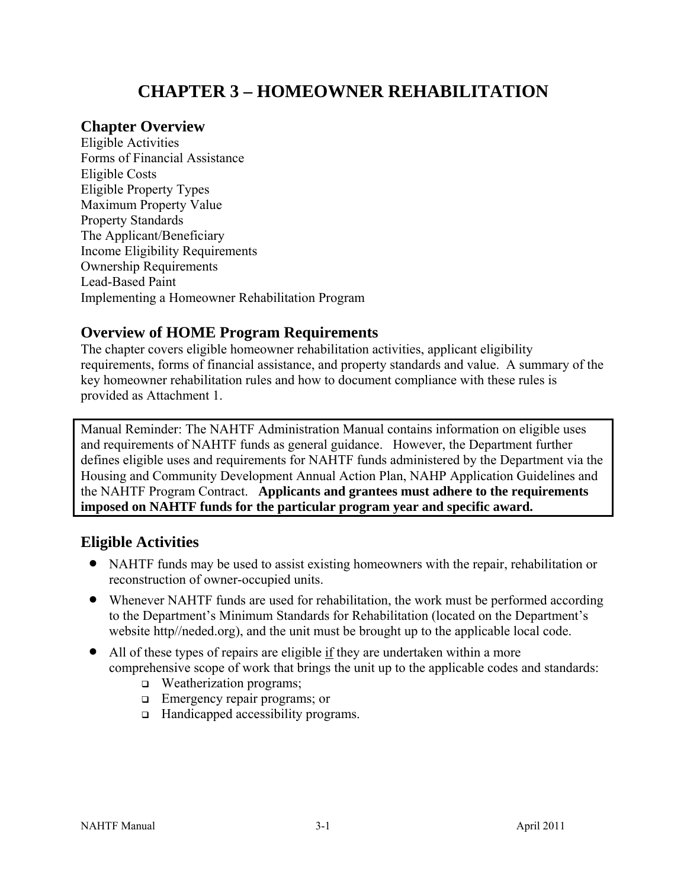# **CHAPTER 3 – HOMEOWNER REHABILITATION**

# **Chapter Overview**

Eligible Activities Forms of Financial Assistance Eligible Costs Eligible Property Types Maximum Property Value Property Standards The Applicant/Beneficiary Income Eligibility Requirements Ownership Requirements Lead-Based Paint Implementing a Homeowner Rehabilitation Program

# **Overview of HOME Program Requirements**

The chapter covers eligible homeowner rehabilitation activities, applicant eligibility requirements, forms of financial assistance, and property standards and value. A summary of the key homeowner rehabilitation rules and how to document compliance with these rules is provided as Attachment 1.

Manual Reminder: The NAHTF Administration Manual contains information on eligible uses and requirements of NAHTF funds as general guidance. However, the Department further defines eligible uses and requirements for NAHTF funds administered by the Department via the Housing and Community Development Annual Action Plan, NAHP Application Guidelines and the NAHTF Program Contract. **Applicants and grantees must adhere to the requirements imposed on NAHTF funds for the particular program year and specific award.** 

# **Eligible Activities**

- NAHTF funds may be used to assist existing homeowners with the repair, rehabilitation or reconstruction of owner-occupied units.
- Whenever NAHTF funds are used for rehabilitation, the work must be performed according to the Department's Minimum Standards for Rehabilitation (located on the Department's website http//neded.org), and the unit must be brought up to the applicable local code.
- All of these types of repairs are eligible if they are undertaken within a more comprehensive scope of work that brings the unit up to the applicable codes and standards:
	- □ Weatherization programs;
	- **Emergency repair programs; or**
	- □ Handicapped accessibility programs.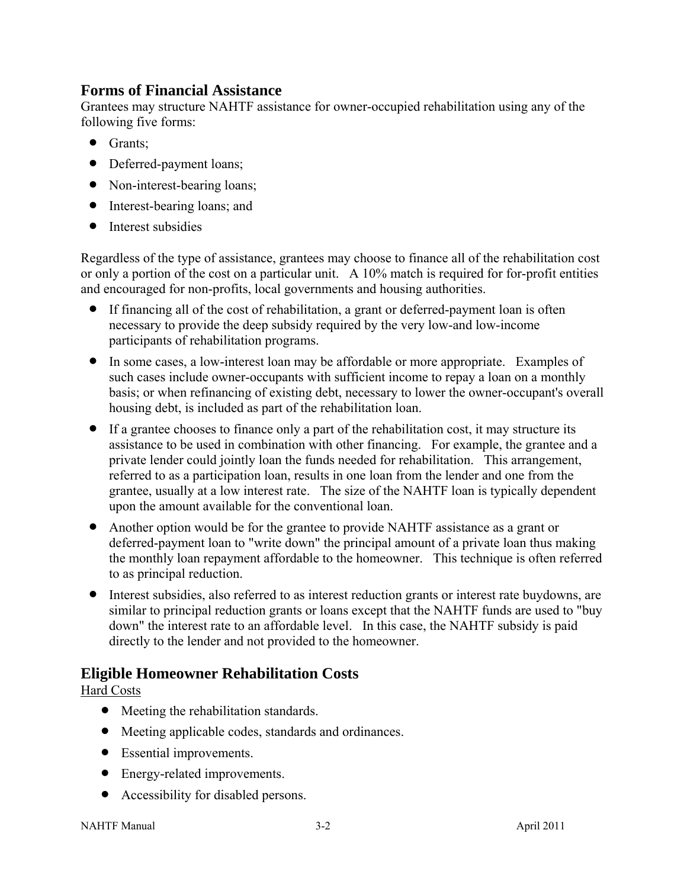# **Forms of Financial Assistance**

Grantees may structure NAHTF assistance for owner-occupied rehabilitation using any of the following five forms:

- Grants;
- Deferred-payment loans;
- Non-interest-bearing loans;
- Interest-bearing loans; and
- Interest subsidies

Regardless of the type of assistance, grantees may choose to finance all of the rehabilitation cost or only a portion of the cost on a particular unit. A 10% match is required for for-profit entities and encouraged for non-profits, local governments and housing authorities.

- If financing all of the cost of rehabilitation, a grant or deferred-payment loan is often necessary to provide the deep subsidy required by the very low-and low-income participants of rehabilitation programs.
- In some cases, a low-interest loan may be affordable or more appropriate. Examples of such cases include owner-occupants with sufficient income to repay a loan on a monthly basis; or when refinancing of existing debt, necessary to lower the owner-occupant's overall housing debt, is included as part of the rehabilitation loan.
- If a grantee chooses to finance only a part of the rehabilitation cost, it may structure its assistance to be used in combination with other financing. For example, the grantee and a private lender could jointly loan the funds needed for rehabilitation. This arrangement, referred to as a participation loan, results in one loan from the lender and one from the grantee, usually at a low interest rate. The size of the NAHTF loan is typically dependent upon the amount available for the conventional loan.
- Another option would be for the grantee to provide NAHTF assistance as a grant or deferred-payment loan to "write down" the principal amount of a private loan thus making the monthly loan repayment affordable to the homeowner. This technique is often referred to as principal reduction.
- Interest subsidies, also referred to as interest reduction grants or interest rate buydowns, are similar to principal reduction grants or loans except that the NAHTF funds are used to "buy down" the interest rate to an affordable level. In this case, the NAHTF subsidy is paid directly to the lender and not provided to the homeowner.

# **Eligible Homeowner Rehabilitation Costs**

Hard Costs

- Meeting the rehabilitation standards.
- Meeting applicable codes, standards and ordinances.
- Essential improvements.
- Energy-related improvements.
- Accessibility for disabled persons.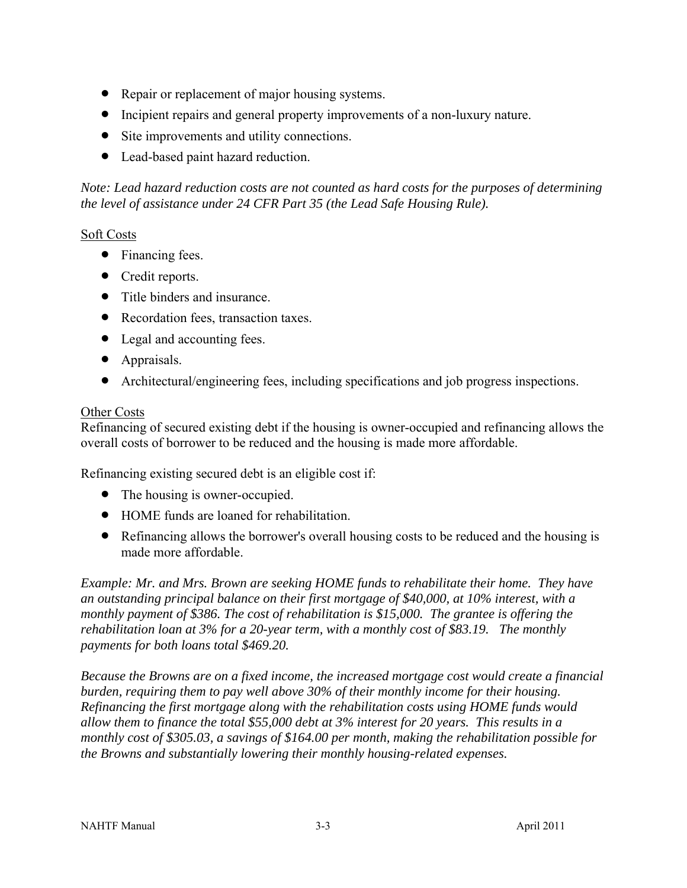- Repair or replacement of major housing systems.
- Incipient repairs and general property improvements of a non-luxury nature.
- Site improvements and utility connections.
- Lead-based paint hazard reduction.

*Note: Lead hazard reduction costs are not counted as hard costs for the purposes of determining the level of assistance under 24 CFR Part 35 (the Lead Safe Housing Rule).* 

#### Soft Costs

- Financing fees.
- Credit reports.
- Title binders and insurance.
- Recordation fees, transaction taxes.
- Legal and accounting fees.
- Appraisals.
- Architectural/engineering fees, including specifications and job progress inspections.

#### Other Costs

Refinancing of secured existing debt if the housing is owner-occupied and refinancing allows the overall costs of borrower to be reduced and the housing is made more affordable.

Refinancing existing secured debt is an eligible cost if:

- The housing is owner-occupied.
- HOME funds are loaned for rehabilitation.
- Refinancing allows the borrower's overall housing costs to be reduced and the housing is made more affordable.

*Example: Mr. and Mrs. Brown are seeking HOME funds to rehabilitate their home. They have an outstanding principal balance on their first mortgage of \$40,000, at 10% interest, with a monthly payment of \$386. The cost of rehabilitation is \$15,000. The grantee is offering the rehabilitation loan at 3% for a 20-year term, with a monthly cost of \$83.19. The monthly payments for both loans total \$469.20.* 

*Because the Browns are on a fixed income, the increased mortgage cost would create a financial burden, requiring them to pay well above 30% of their monthly income for their housing. Refinancing the first mortgage along with the rehabilitation costs using HOME funds would allow them to finance the total \$55,000 debt at 3% interest for 20 years. This results in a monthly cost of \$305.03, a savings of \$164.00 per month, making the rehabilitation possible for the Browns and substantially lowering their monthly housing-related expenses.*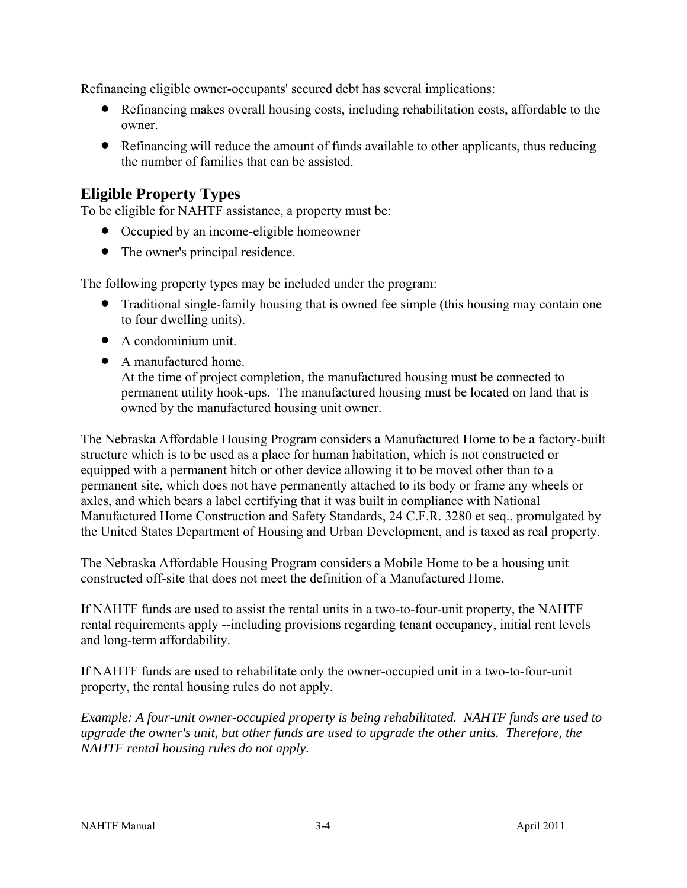Refinancing eligible owner-occupants' secured debt has several implications:

- Refinancing makes overall housing costs, including rehabilitation costs, affordable to the owner.
- Refinancing will reduce the amount of funds available to other applicants, thus reducing the number of families that can be assisted.

# **Eligible Property Types**

To be eligible for NAHTF assistance, a property must be:

- Occupied by an income-eligible homeowner
- The owner's principal residence.

The following property types may be included under the program:

- Traditional single-family housing that is owned fee simple (this housing may contain one to four dwelling units).
- A condominium unit.
- A manufactured home. At the time of project completion, the manufactured housing must be connected to permanent utility hook-ups. The manufactured housing must be located on land that is owned by the manufactured housing unit owner.

The Nebraska Affordable Housing Program considers a Manufactured Home to be a factory-built structure which is to be used as a place for human habitation, which is not constructed or equipped with a permanent hitch or other device allowing it to be moved other than to a permanent site, which does not have permanently attached to its body or frame any wheels or axles, and which bears a label certifying that it was built in compliance with National Manufactured Home Construction and Safety Standards, 24 C.F.R. 3280 et seq., promulgated by the United States Department of Housing and Urban Development, and is taxed as real property.

The Nebraska Affordable Housing Program considers a Mobile Home to be a housing unit constructed off-site that does not meet the definition of a Manufactured Home.

If NAHTF funds are used to assist the rental units in a two-to-four-unit property, the NAHTF rental requirements apply --including provisions regarding tenant occupancy, initial rent levels and long-term affordability.

If NAHTF funds are used to rehabilitate only the owner-occupied unit in a two-to-four-unit property, the rental housing rules do not apply.

*Example: A four-unit owner-occupied property is being rehabilitated. NAHTF funds are used to upgrade the owner's unit, but other funds are used to upgrade the other units. Therefore, the NAHTF rental housing rules do not apply.*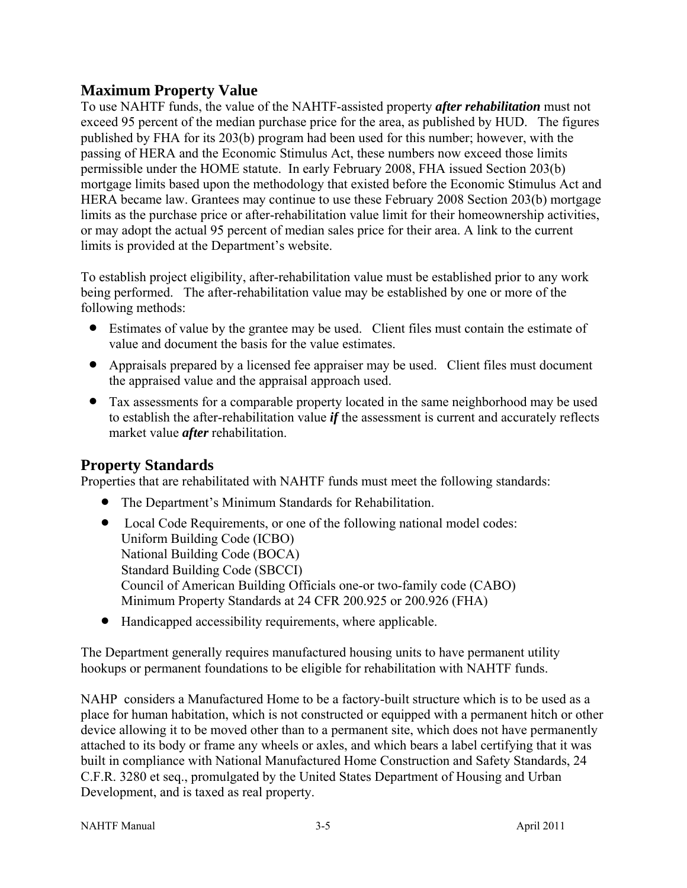# **Maximum Property Value**

To use NAHTF funds, the value of the NAHTF-assisted property *after rehabilitation* must not exceed 95 percent of the median purchase price for the area, as published by HUD. The figures published by FHA for its 203(b) program had been used for this number; however, with the passing of HERA and the Economic Stimulus Act, these numbers now exceed those limits permissible under the HOME statute. In early February 2008, FHA issued Section 203(b) mortgage limits based upon the methodology that existed before the Economic Stimulus Act and HERA became law. Grantees may continue to use these February 2008 Section 203(b) mortgage limits as the purchase price or after-rehabilitation value limit for their homeownership activities, or may adopt the actual 95 percent of median sales price for their area. A link to the current limits is provided at the Department's website.

To establish project eligibility, after-rehabilitation value must be established prior to any work being performed. The after-rehabilitation value may be established by one or more of the following methods:

- Estimates of value by the grantee may be used. Client files must contain the estimate of value and document the basis for the value estimates.
- Appraisals prepared by a licensed fee appraiser may be used. Client files must document the appraised value and the appraisal approach used.
- Tax assessments for a comparable property located in the same neighborhood may be used to establish the after-rehabilitation value *if* the assessment is current and accurately reflects market value *after* rehabilitation.

# **Property Standards**

Properties that are rehabilitated with NAHTF funds must meet the following standards:

- The Department's Minimum Standards for Rehabilitation.
- Local Code Requirements, or one of the following national model codes: Uniform Building Code (ICBO) National Building Code (BOCA) Standard Building Code (SBCCI) Council of American Building Officials one-or two-family code (CABO) Minimum Property Standards at 24 CFR 200.925 or 200.926 (FHA)
- Handicapped accessibility requirements, where applicable.

The Department generally requires manufactured housing units to have permanent utility hookups or permanent foundations to be eligible for rehabilitation with NAHTF funds.

NAHP considers a Manufactured Home to be a factory-built structure which is to be used as a place for human habitation, which is not constructed or equipped with a permanent hitch or other device allowing it to be moved other than to a permanent site, which does not have permanently attached to its body or frame any wheels or axles, and which bears a label certifying that it was built in compliance with National Manufactured Home Construction and Safety Standards, 24 C.F.R. 3280 et seq., promulgated by the United States Department of Housing and Urban Development, and is taxed as real property.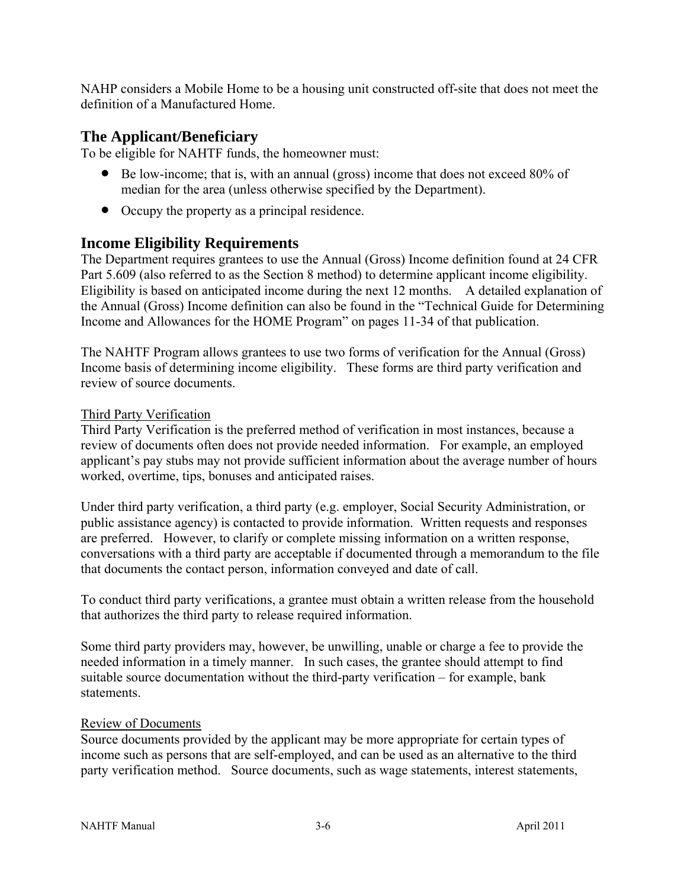NAHP considers a Mobile Home to be a housing unit constructed off-site that does not meet the definition of a Manufactured Home.

# **The Applicant/Beneficiary**

To be eligible for NAHTF funds, the homeowner must:

- Be low-income; that is, with an annual (gross) income that does not exceed 80% of median for the area (unless otherwise specified by the Department).
- Occupy the property as a principal residence.

# **Income Eligibility Requirements**

The Department requires grantees to use the Annual (Gross) Income definition found at 24 CFR Part 5.609 (also referred to as the Section 8 method) to determine applicant income eligibility. Eligibility is based on anticipated income during the next 12 months. A detailed explanation of the Annual (Gross) Income definition can also be found in the "Technical Guide for Determining Income and Allowances for the HOME Program" on pages 11-34 of that publication.

The NAHTF Program allows grantees to use two forms of verification for the Annual (Gross) Income basis of determining income eligibility. These forms are third party verification and review of source documents.

#### Third Party Verification

Third Party Verification is the preferred method of verification in most instances, because a review of documents often does not provide needed information. For example, an employed applicant's pay stubs may not provide sufficient information about the average number of hours worked, overtime, tips, bonuses and anticipated raises.

Under third party verification, a third party (e.g. employer, Social Security Administration, or public assistance agency) is contacted to provide information. Written requests and responses are preferred. However, to clarify or complete missing information on a written response, conversations with a third party are acceptable if documented through a memorandum to the file that documents the contact person, information conveyed and date of call.

To conduct third party verifications, a grantee must obtain a written release from the household that authorizes the third party to release required information.

Some third party providers may, however, be unwilling, unable or charge a fee to provide the needed information in a timely manner. In such cases, the grantee should attempt to find suitable source documentation without the third-party verification – for example, bank statements.

#### Review of Documents

Source documents provided by the applicant may be more appropriate for certain types of income such as persons that are self-employed, and can be used as an alternative to the third party verification method. Source documents, such as wage statements, interest statements,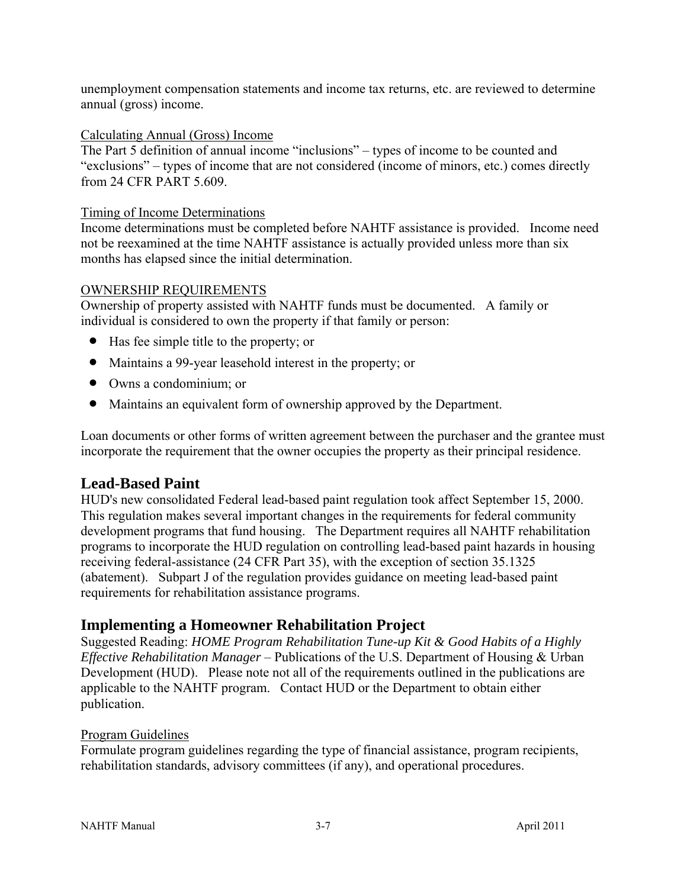unemployment compensation statements and income tax returns, etc. are reviewed to determine annual (gross) income.

### Calculating Annual (Gross) Income

The Part 5 definition of annual income "inclusions" – types of income to be counted and "exclusions" – types of income that are not considered (income of minors, etc.) comes directly from 24 CFR PART 5.609.

#### Timing of Income Determinations

Income determinations must be completed before NAHTF assistance is provided. Income need not be reexamined at the time NAHTF assistance is actually provided unless more than six months has elapsed since the initial determination.

#### OWNERSHIP REQUIREMENTS

Ownership of property assisted with NAHTF funds must be documented. A family or individual is considered to own the property if that family or person:

- Has fee simple title to the property; or
- Maintains a 99-year leasehold interest in the property; or
- Owns a condominium; or
- Maintains an equivalent form of ownership approved by the Department.

Loan documents or other forms of written agreement between the purchaser and the grantee must incorporate the requirement that the owner occupies the property as their principal residence.

# **Lead-Based Paint**

HUD's new consolidated Federal lead-based paint regulation took affect September 15, 2000. This regulation makes several important changes in the requirements for federal community development programs that fund housing. The Department requires all NAHTF rehabilitation programs to incorporate the HUD regulation on controlling lead-based paint hazards in housing receiving federal-assistance (24 CFR Part 35), with the exception of section 35.1325 (abatement). Subpart J of the regulation provides guidance on meeting lead-based paint requirements for rehabilitation assistance programs.

# **Implementing a Homeowner Rehabilitation Project**

Suggested Reading: *HOME Program Rehabilitation Tune-up Kit & Good Habits of a Highly Effective Rehabilitation Manager* – Publications of the U.S. Department of Housing & Urban Development (HUD). Please note not all of the requirements outlined in the publications are applicable to the NAHTF program. Contact HUD or the Department to obtain either publication.

#### Program Guidelines

Formulate program guidelines regarding the type of financial assistance, program recipients, rehabilitation standards, advisory committees (if any), and operational procedures.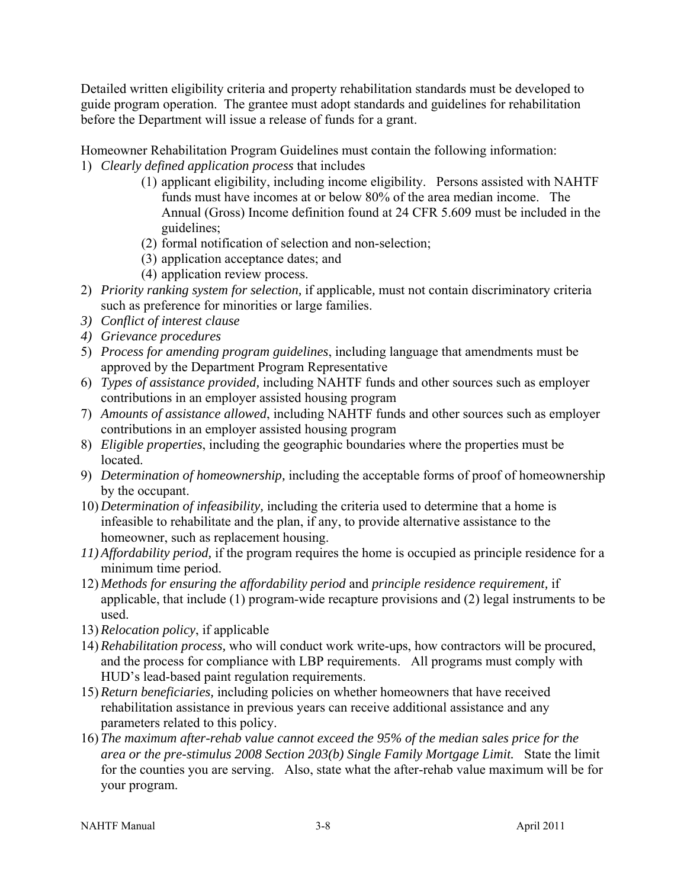Detailed written eligibility criteria and property rehabilitation standards must be developed to guide program operation. The grantee must adopt standards and guidelines for rehabilitation before the Department will issue a release of funds for a grant.

Homeowner Rehabilitation Program Guidelines must contain the following information: 1) *Clearly defined application process* that includes

- (1) applicant eligibility, including income eligibility. Persons assisted with NAHTF funds must have incomes at or below 80% of the area median income. The Annual (Gross) Income definition found at 24 CFR 5.609 must be included in the guidelines;
- (2) formal notification of selection and non-selection;
- (3) application acceptance dates; and
- (4) application review process.
- 2) *Priority ranking system for selection,* if applicable*,* must not contain discriminatory criteria such as preference for minorities or large families.
- *3) Conflict of interest clause*
- *4) Grievance procedures*
- 5) *Process for amending program guidelines*, including language that amendments must be approved by the Department Program Representative
- 6) *Types of assistance provided,* including NAHTF funds and other sources such as employer contributions in an employer assisted housing program
- 7) *Amounts of assistance allowed*, including NAHTF funds and other sources such as employer contributions in an employer assisted housing program
- 8) *Eligible properties*, including the geographic boundaries where the properties must be located.
- 9) *Determination of homeownership,* including the acceptable forms of proof of homeownership by the occupant.
- 10) *Determination of infeasibility,* including the criteria used to determine that a home is infeasible to rehabilitate and the plan, if any, to provide alternative assistance to the homeowner, such as replacement housing.
- *11) Affordability period,* if the program requires the home is occupied as principle residence for a minimum time period.
- 12) *Methods for ensuring the affordability period* and *principle residence requirement,* if applicable, that include (1) program-wide recapture provisions and (2) legal instruments to be used.
- 13) *Relocation policy*, if applicable
- 14) *Rehabilitation process,* who will conduct work write-ups, how contractors will be procured, and the process for compliance with LBP requirements. All programs must comply with HUD's lead-based paint regulation requirements.
- 15) *Return beneficiaries,* including policies on whether homeowners that have received rehabilitation assistance in previous years can receive additional assistance and any parameters related to this policy.
- 16) *The maximum after-rehab value cannot exceed the 95% of the median sales price for the area or the pre-stimulus 2008 Section 203(b) Single Family Mortgage Limit.* State the limit for the counties you are serving. Also, state what the after-rehab value maximum will be for your program.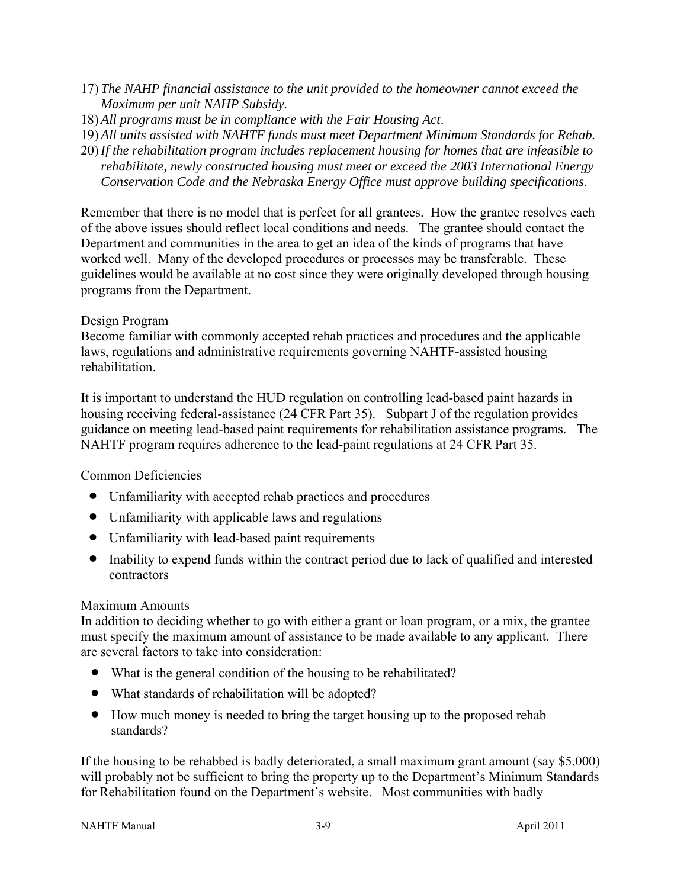- 17) *The NAHP financial assistance to the unit provided to the homeowner cannot exceed the Maximum per unit NAHP Subsidy.*
- 18) *All programs must be in compliance with the Fair Housing Act*.
- 19) *All units assisted with NAHTF funds must meet Department Minimum Standards for Rehab.*
- 20) *If the rehabilitation program includes replacement housing for homes that are infeasible to rehabilitate, newly constructed housing must meet or exceed the 2003 International Energy Conservation Code and the Nebraska Energy Office must approve building specifications*.

Remember that there is no model that is perfect for all grantees. How the grantee resolves each of the above issues should reflect local conditions and needs. The grantee should contact the Department and communities in the area to get an idea of the kinds of programs that have worked well. Many of the developed procedures or processes may be transferable. These guidelines would be available at no cost since they were originally developed through housing programs from the Department.

### Design Program

Become familiar with commonly accepted rehab practices and procedures and the applicable laws, regulations and administrative requirements governing NAHTF-assisted housing rehabilitation.

It is important to understand the HUD regulation on controlling lead-based paint hazards in housing receiving federal-assistance (24 CFR Part 35). Subpart J of the regulation provides guidance on meeting lead-based paint requirements for rehabilitation assistance programs. The NAHTF program requires adherence to the lead-paint regulations at 24 CFR Part 35.

### Common Deficiencies

- Unfamiliarity with accepted rehab practices and procedures
- Unfamiliarity with applicable laws and regulations
- Unfamiliarity with lead-based paint requirements
- Inability to expend funds within the contract period due to lack of qualified and interested contractors

#### Maximum Amounts

In addition to deciding whether to go with either a grant or loan program, or a mix, the grantee must specify the maximum amount of assistance to be made available to any applicant. There are several factors to take into consideration:

- What is the general condition of the housing to be rehabilitated?
- What standards of rehabilitation will be adopted?
- How much money is needed to bring the target housing up to the proposed rehab standards?

If the housing to be rehabbed is badly deteriorated, a small maximum grant amount (say \$5,000) will probably not be sufficient to bring the property up to the Department's Minimum Standards for Rehabilitation found on the Department's website. Most communities with badly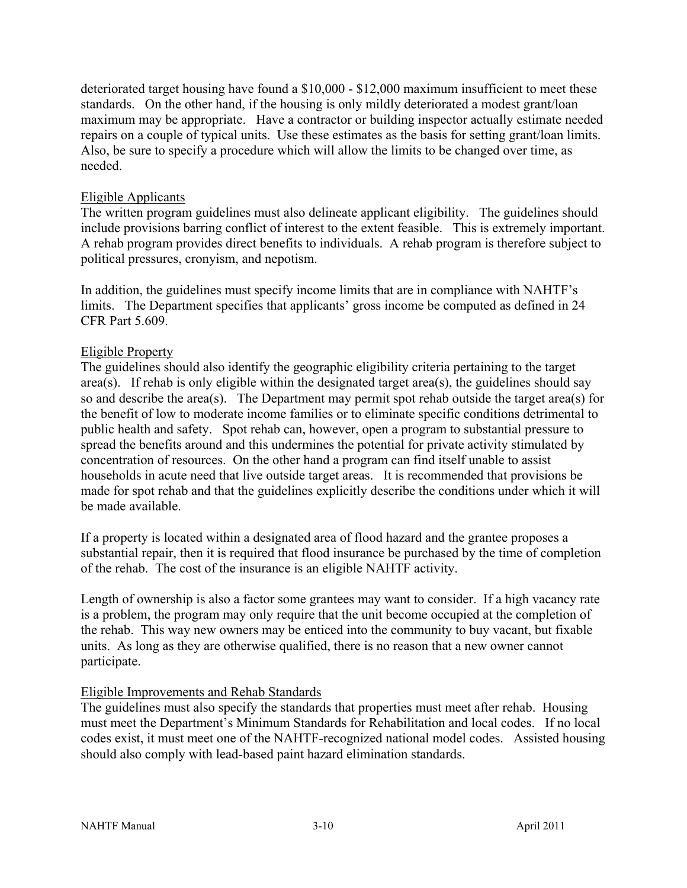deteriorated target housing have found a \$10,000 - \$12,000 maximum insufficient to meet these standards. On the other hand, if the housing is only mildly deteriorated a modest grant/loan maximum may be appropriate. Have a contractor or building inspector actually estimate needed repairs on a couple of typical units. Use these estimates as the basis for setting grant/loan limits. Also, be sure to specify a procedure which will allow the limits to be changed over time, as needed.

### Eligible Applicants

The written program guidelines must also delineate applicant eligibility. The guidelines should include provisions barring conflict of interest to the extent feasible. This is extremely important. A rehab program provides direct benefits to individuals. A rehab program is therefore subject to political pressures, cronyism, and nepotism.

In addition, the guidelines must specify income limits that are in compliance with NAHTF's limits. The Department specifies that applicants' gross income be computed as defined in 24 CFR Part 5.609.

#### Eligible Property

The guidelines should also identify the geographic eligibility criteria pertaining to the target area(s). If rehab is only eligible within the designated target area(s), the guidelines should say so and describe the area(s). The Department may permit spot rehab outside the target area(s) for the benefit of low to moderate income families or to eliminate specific conditions detrimental to public health and safety. Spot rehab can, however, open a program to substantial pressure to spread the benefits around and this undermines the potential for private activity stimulated by concentration of resources. On the other hand a program can find itself unable to assist households in acute need that live outside target areas. It is recommended that provisions be made for spot rehab and that the guidelines explicitly describe the conditions under which it will be made available.

If a property is located within a designated area of flood hazard and the grantee proposes a substantial repair, then it is required that flood insurance be purchased by the time of completion of the rehab. The cost of the insurance is an eligible NAHTF activity.

Length of ownership is also a factor some grantees may want to consider. If a high vacancy rate is a problem, the program may only require that the unit become occupied at the completion of the rehab. This way new owners may be enticed into the community to buy vacant, but fixable units. As long as they are otherwise qualified, there is no reason that a new owner cannot participate.

#### Eligible Improvements and Rehab Standards

The guidelines must also specify the standards that properties must meet after rehab. Housing must meet the Department's Minimum Standards for Rehabilitation and local codes. If no local codes exist, it must meet one of the NAHTF-recognized national model codes. Assisted housing should also comply with lead-based paint hazard elimination standards.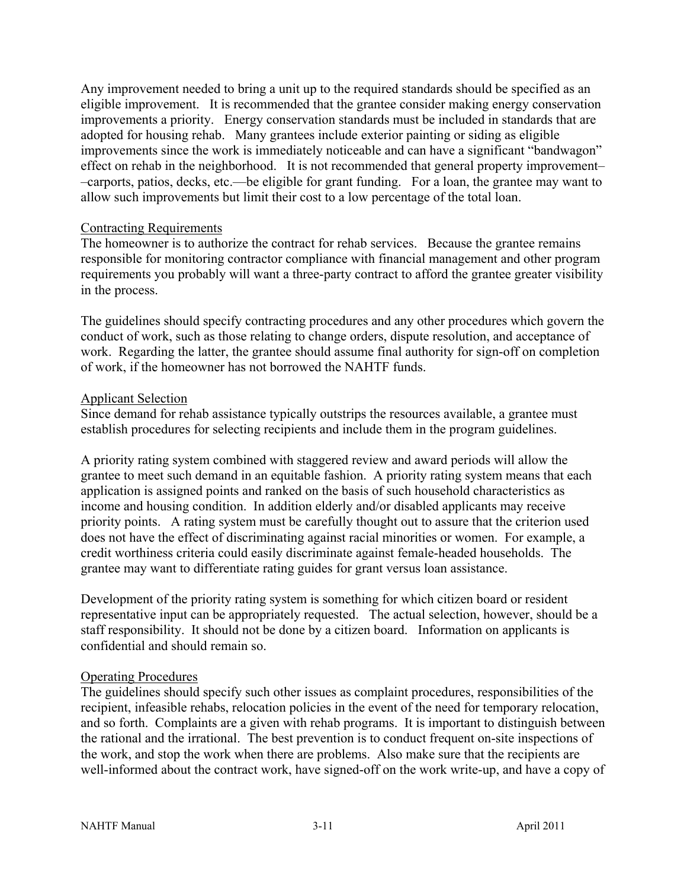Any improvement needed to bring a unit up to the required standards should be specified as an eligible improvement. It is recommended that the grantee consider making energy conservation improvements a priority. Energy conservation standards must be included in standards that are adopted for housing rehab. Many grantees include exterior painting or siding as eligible improvements since the work is immediately noticeable and can have a significant "bandwagon" effect on rehab in the neighborhood. It is not recommended that general property improvement– –carports, patios, decks, etc.—be eligible for grant funding. For a loan, the grantee may want to allow such improvements but limit their cost to a low percentage of the total loan.

#### Contracting Requirements

The homeowner is to authorize the contract for rehab services. Because the grantee remains responsible for monitoring contractor compliance with financial management and other program requirements you probably will want a three-party contract to afford the grantee greater visibility in the process.

The guidelines should specify contracting procedures and any other procedures which govern the conduct of work, such as those relating to change orders, dispute resolution, and acceptance of work. Regarding the latter, the grantee should assume final authority for sign-off on completion of work, if the homeowner has not borrowed the NAHTF funds.

#### Applicant Selection

Since demand for rehab assistance typically outstrips the resources available, a grantee must establish procedures for selecting recipients and include them in the program guidelines.

A priority rating system combined with staggered review and award periods will allow the grantee to meet such demand in an equitable fashion. A priority rating system means that each application is assigned points and ranked on the basis of such household characteristics as income and housing condition. In addition elderly and/or disabled applicants may receive priority points. A rating system must be carefully thought out to assure that the criterion used does not have the effect of discriminating against racial minorities or women. For example, a credit worthiness criteria could easily discriminate against female-headed households. The grantee may want to differentiate rating guides for grant versus loan assistance.

Development of the priority rating system is something for which citizen board or resident representative input can be appropriately requested. The actual selection, however, should be a staff responsibility. It should not be done by a citizen board. Information on applicants is confidential and should remain so.

#### Operating Procedures

The guidelines should specify such other issues as complaint procedures, responsibilities of the recipient, infeasible rehabs, relocation policies in the event of the need for temporary relocation, and so forth. Complaints are a given with rehab programs. It is important to distinguish between the rational and the irrational. The best prevention is to conduct frequent on-site inspections of the work, and stop the work when there are problems. Also make sure that the recipients are well-informed about the contract work, have signed-off on the work write-up, and have a copy of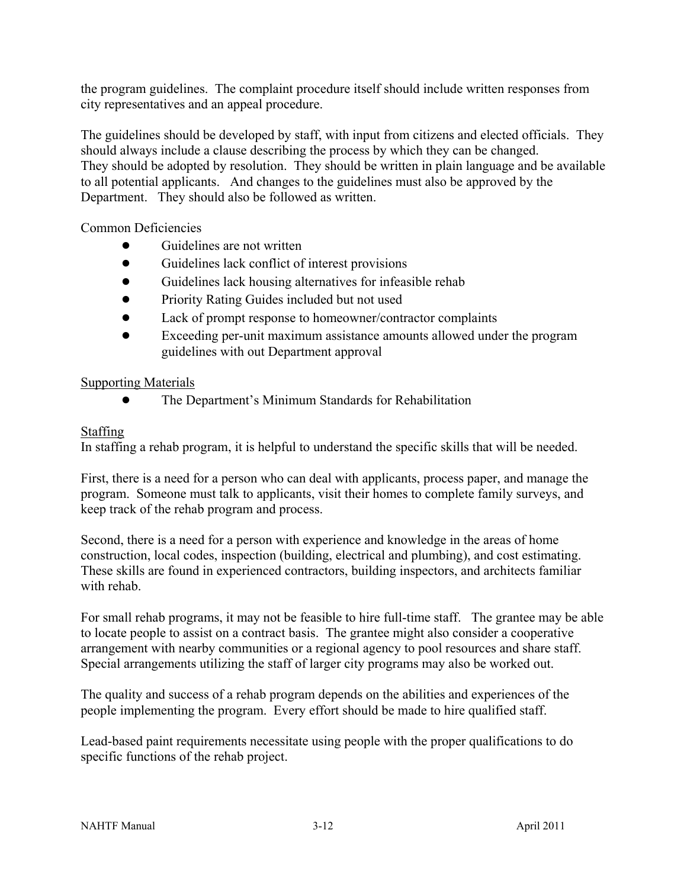the program guidelines. The complaint procedure itself should include written responses from city representatives and an appeal procedure.

The guidelines should be developed by staff, with input from citizens and elected officials. They should always include a clause describing the process by which they can be changed. They should be adopted by resolution. They should be written in plain language and be available to all potential applicants. And changes to the guidelines must also be approved by the Department. They should also be followed as written.

Common Deficiencies

- Guidelines are not written
- Guidelines lack conflict of interest provisions
- Guidelines lack housing alternatives for infeasible rehab
- Priority Rating Guides included but not used
- Lack of prompt response to homeowner/contractor complaints
- Exceeding per-unit maximum assistance amounts allowed under the program guidelines with out Department approval

### Supporting Materials

● The Department's Minimum Standards for Rehabilitation

# **Staffing**

In staffing a rehab program, it is helpful to understand the specific skills that will be needed.

First, there is a need for a person who can deal with applicants, process paper, and manage the program. Someone must talk to applicants, visit their homes to complete family surveys, and keep track of the rehab program and process.

Second, there is a need for a person with experience and knowledge in the areas of home construction, local codes, inspection (building, electrical and plumbing), and cost estimating. These skills are found in experienced contractors, building inspectors, and architects familiar with rehab.

For small rehab programs, it may not be feasible to hire full-time staff. The grantee may be able to locate people to assist on a contract basis. The grantee might also consider a cooperative arrangement with nearby communities or a regional agency to pool resources and share staff. Special arrangements utilizing the staff of larger city programs may also be worked out.

The quality and success of a rehab program depends on the abilities and experiences of the people implementing the program. Every effort should be made to hire qualified staff.

Lead-based paint requirements necessitate using people with the proper qualifications to do specific functions of the rehab project.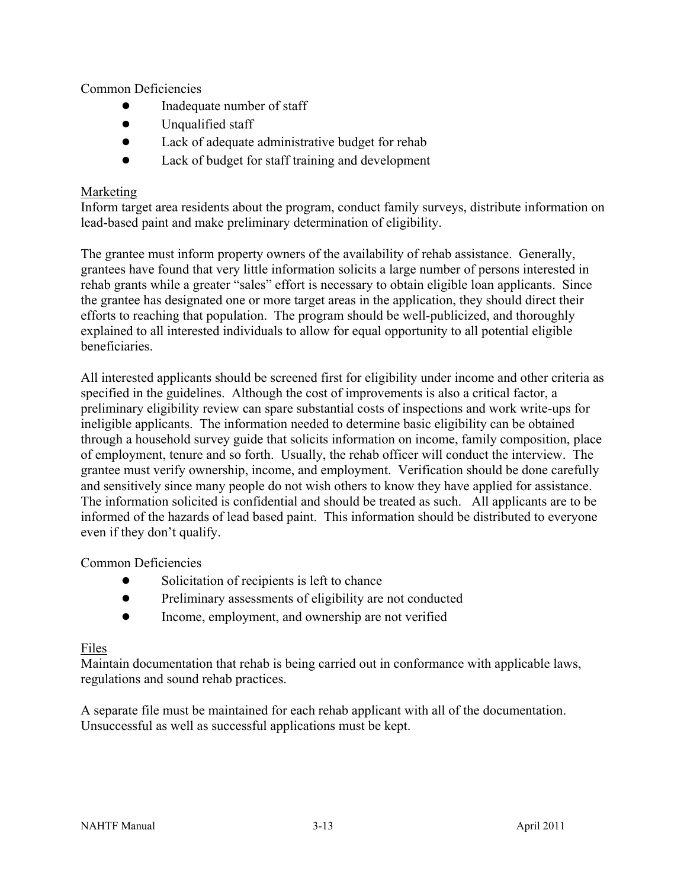Common Deficiencies

- Inadequate number of staff
- Unqualified staff
- Lack of adequate administrative budget for rehab
- Lack of budget for staff training and development

### Marketing

Inform target area residents about the program, conduct family surveys, distribute information on lead-based paint and make preliminary determination of eligibility.

The grantee must inform property owners of the availability of rehab assistance. Generally, grantees have found that very little information solicits a large number of persons interested in rehab grants while a greater "sales" effort is necessary to obtain eligible loan applicants. Since the grantee has designated one or more target areas in the application, they should direct their efforts to reaching that population. The program should be well-publicized, and thoroughly explained to all interested individuals to allow for equal opportunity to all potential eligible beneficiaries.

All interested applicants should be screened first for eligibility under income and other criteria as specified in the guidelines. Although the cost of improvements is also a critical factor, a preliminary eligibility review can spare substantial costs of inspections and work write-ups for ineligible applicants. The information needed to determine basic eligibility can be obtained through a household survey guide that solicits information on income, family composition, place of employment, tenure and so forth. Usually, the rehab officer will conduct the interview. The grantee must verify ownership, income, and employment. Verification should be done carefully and sensitively since many people do not wish others to know they have applied for assistance. The information solicited is confidential and should be treated as such. All applicants are to be informed of the hazards of lead based paint. This information should be distributed to everyone even if they don't qualify.

Common Deficiencies

- Solicitation of recipients is left to chance
- Preliminary assessments of eligibility are not conducted
- Income, employment, and ownership are not verified

### Files

Maintain documentation that rehab is being carried out in conformance with applicable laws, regulations and sound rehab practices.

A separate file must be maintained for each rehab applicant with all of the documentation. Unsuccessful as well as successful applications must be kept.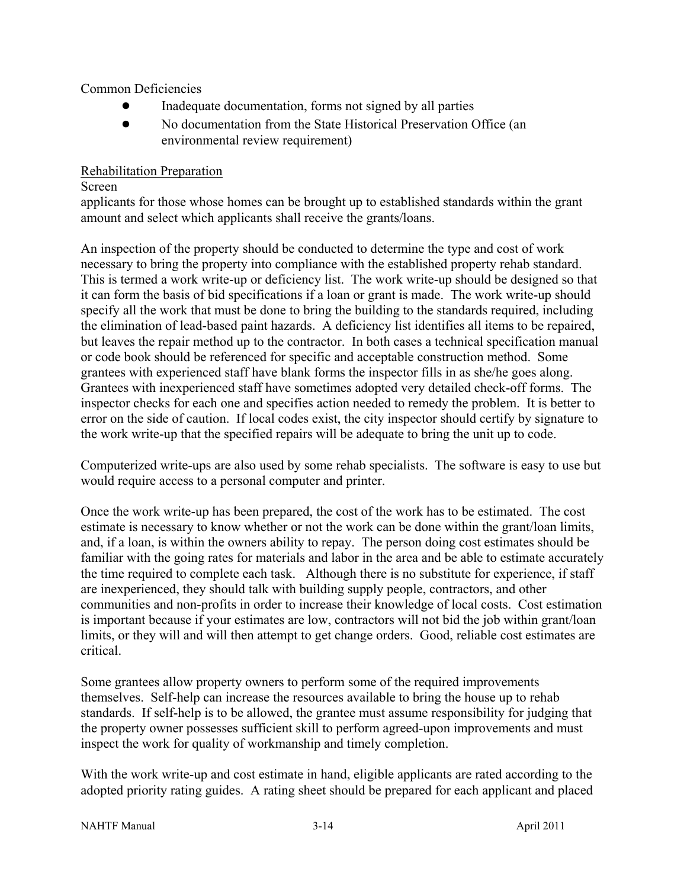Common Deficiencies

- Inadequate documentation, forms not signed by all parties
- No documentation from the State Historical Preservation Office (an environmental review requirement)

#### Rehabilitation Preparation

#### Screen

applicants for those whose homes can be brought up to established standards within the grant amount and select which applicants shall receive the grants/loans.

An inspection of the property should be conducted to determine the type and cost of work necessary to bring the property into compliance with the established property rehab standard. This is termed a work write-up or deficiency list. The work write-up should be designed so that it can form the basis of bid specifications if a loan or grant is made. The work write-up should specify all the work that must be done to bring the building to the standards required, including the elimination of lead-based paint hazards. A deficiency list identifies all items to be repaired, but leaves the repair method up to the contractor. In both cases a technical specification manual or code book should be referenced for specific and acceptable construction method. Some grantees with experienced staff have blank forms the inspector fills in as she/he goes along. Grantees with inexperienced staff have sometimes adopted very detailed check-off forms. The inspector checks for each one and specifies action needed to remedy the problem. It is better to error on the side of caution. If local codes exist, the city inspector should certify by signature to the work write-up that the specified repairs will be adequate to bring the unit up to code.

Computerized write-ups are also used by some rehab specialists. The software is easy to use but would require access to a personal computer and printer.

Once the work write-up has been prepared, the cost of the work has to be estimated. The cost estimate is necessary to know whether or not the work can be done within the grant/loan limits, and, if a loan, is within the owners ability to repay. The person doing cost estimates should be familiar with the going rates for materials and labor in the area and be able to estimate accurately the time required to complete each task. Although there is no substitute for experience, if staff are inexperienced, they should talk with building supply people, contractors, and other communities and non-profits in order to increase their knowledge of local costs. Cost estimation is important because if your estimates are low, contractors will not bid the job within grant/loan limits, or they will and will then attempt to get change orders. Good, reliable cost estimates are critical.

Some grantees allow property owners to perform some of the required improvements themselves. Self-help can increase the resources available to bring the house up to rehab standards. If self-help is to be allowed, the grantee must assume responsibility for judging that the property owner possesses sufficient skill to perform agreed-upon improvements and must inspect the work for quality of workmanship and timely completion.

With the work write-up and cost estimate in hand, eligible applicants are rated according to the adopted priority rating guides. A rating sheet should be prepared for each applicant and placed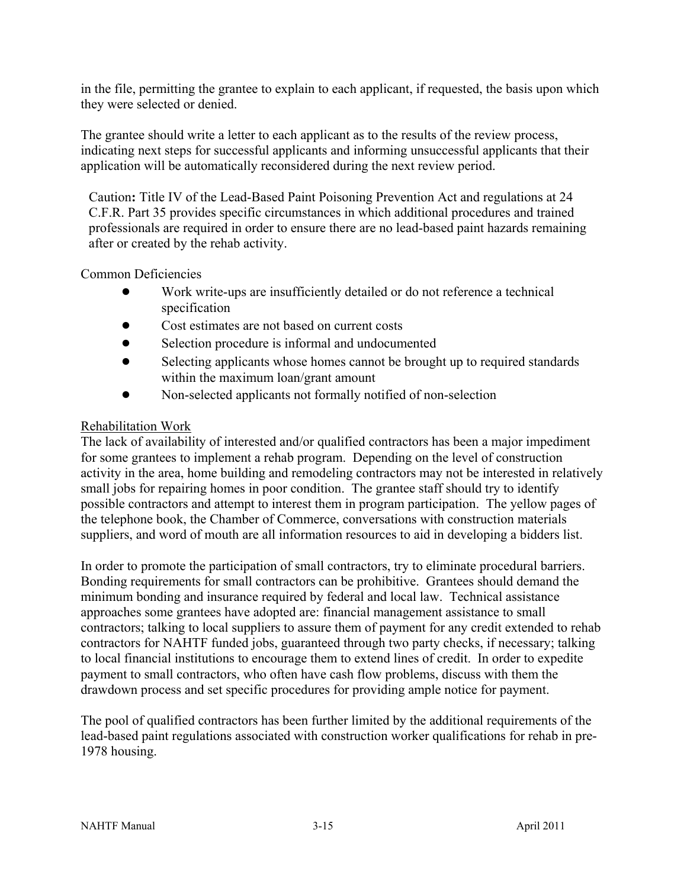in the file, permitting the grantee to explain to each applicant, if requested, the basis upon which they were selected or denied.

The grantee should write a letter to each applicant as to the results of the review process, indicating next steps for successful applicants and informing unsuccessful applicants that their application will be automatically reconsidered during the next review period.

Caution**:** Title IV of the Lead-Based Paint Poisoning Prevention Act and regulations at 24 C.F.R. Part 35 provides specific circumstances in which additional procedures and trained professionals are required in order to ensure there are no lead-based paint hazards remaining after or created by the rehab activity.

Common Deficiencies

- Work write-ups are insufficiently detailed or do not reference a technical specification
- Cost estimates are not based on current costs
- Selection procedure is informal and undocumented
- Selecting applicants whose homes cannot be brought up to required standards within the maximum loan/grant amount
- Non-selected applicants not formally notified of non-selection

### Rehabilitation Work

The lack of availability of interested and/or qualified contractors has been a major impediment for some grantees to implement a rehab program. Depending on the level of construction activity in the area, home building and remodeling contractors may not be interested in relatively small jobs for repairing homes in poor condition. The grantee staff should try to identify possible contractors and attempt to interest them in program participation. The yellow pages of the telephone book, the Chamber of Commerce, conversations with construction materials suppliers, and word of mouth are all information resources to aid in developing a bidders list.

In order to promote the participation of small contractors, try to eliminate procedural barriers. Bonding requirements for small contractors can be prohibitive. Grantees should demand the minimum bonding and insurance required by federal and local law. Technical assistance approaches some grantees have adopted are: financial management assistance to small contractors; talking to local suppliers to assure them of payment for any credit extended to rehab contractors for NAHTF funded jobs, guaranteed through two party checks, if necessary; talking to local financial institutions to encourage them to extend lines of credit. In order to expedite payment to small contractors, who often have cash flow problems, discuss with them the drawdown process and set specific procedures for providing ample notice for payment.

The pool of qualified contractors has been further limited by the additional requirements of the lead-based paint regulations associated with construction worker qualifications for rehab in pre-1978 housing.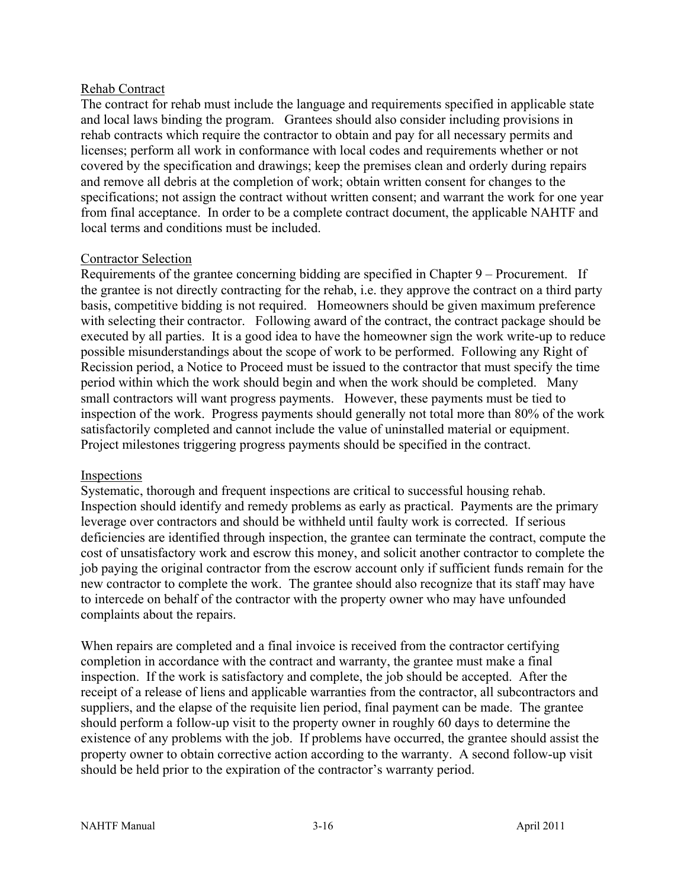#### Rehab Contract

The contract for rehab must include the language and requirements specified in applicable state and local laws binding the program. Grantees should also consider including provisions in rehab contracts which require the contractor to obtain and pay for all necessary permits and licenses; perform all work in conformance with local codes and requirements whether or not covered by the specification and drawings; keep the premises clean and orderly during repairs and remove all debris at the completion of work; obtain written consent for changes to the specifications; not assign the contract without written consent; and warrant the work for one year from final acceptance. In order to be a complete contract document, the applicable NAHTF and local terms and conditions must be included.

#### Contractor Selection

Requirements of the grantee concerning bidding are specified in Chapter 9 – Procurement. If the grantee is not directly contracting for the rehab, i.e. they approve the contract on a third party basis, competitive bidding is not required. Homeowners should be given maximum preference with selecting their contractor. Following award of the contract, the contract package should be executed by all parties. It is a good idea to have the homeowner sign the work write-up to reduce possible misunderstandings about the scope of work to be performed. Following any Right of Recission period, a Notice to Proceed must be issued to the contractor that must specify the time period within which the work should begin and when the work should be completed. Many small contractors will want progress payments. However, these payments must be tied to inspection of the work. Progress payments should generally not total more than 80% of the work satisfactorily completed and cannot include the value of uninstalled material or equipment. Project milestones triggering progress payments should be specified in the contract.

#### Inspections

Systematic, thorough and frequent inspections are critical to successful housing rehab. Inspection should identify and remedy problems as early as practical. Payments are the primary leverage over contractors and should be withheld until faulty work is corrected. If serious deficiencies are identified through inspection, the grantee can terminate the contract, compute the cost of unsatisfactory work and escrow this money, and solicit another contractor to complete the job paying the original contractor from the escrow account only if sufficient funds remain for the new contractor to complete the work. The grantee should also recognize that its staff may have to intercede on behalf of the contractor with the property owner who may have unfounded complaints about the repairs.

When repairs are completed and a final invoice is received from the contractor certifying completion in accordance with the contract and warranty, the grantee must make a final inspection. If the work is satisfactory and complete, the job should be accepted. After the receipt of a release of liens and applicable warranties from the contractor, all subcontractors and suppliers, and the elapse of the requisite lien period, final payment can be made. The grantee should perform a follow-up visit to the property owner in roughly 60 days to determine the existence of any problems with the job. If problems have occurred, the grantee should assist the property owner to obtain corrective action according to the warranty. A second follow-up visit should be held prior to the expiration of the contractor's warranty period.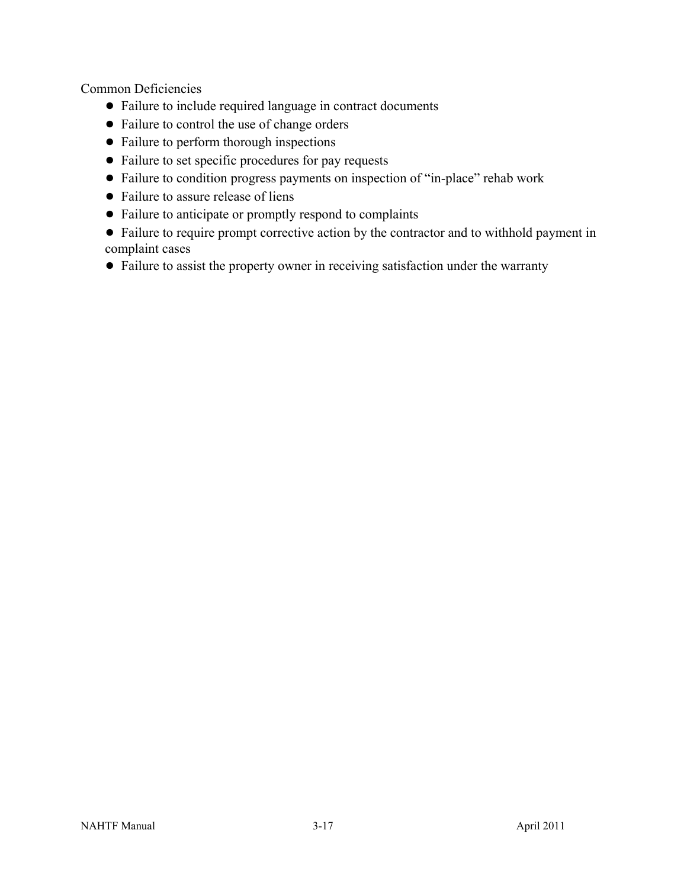Common Deficiencies

- Failure to include required language in contract documents
- Failure to control the use of change orders
- Failure to perform thorough inspections
- Failure to set specific procedures for pay requests
- Failure to condition progress payments on inspection of "in-place" rehab work
- Failure to assure release of liens
- Failure to anticipate or promptly respond to complaints
- Failure to require prompt corrective action by the contractor and to withhold payment in complaint cases
- Failure to assist the property owner in receiving satisfaction under the warranty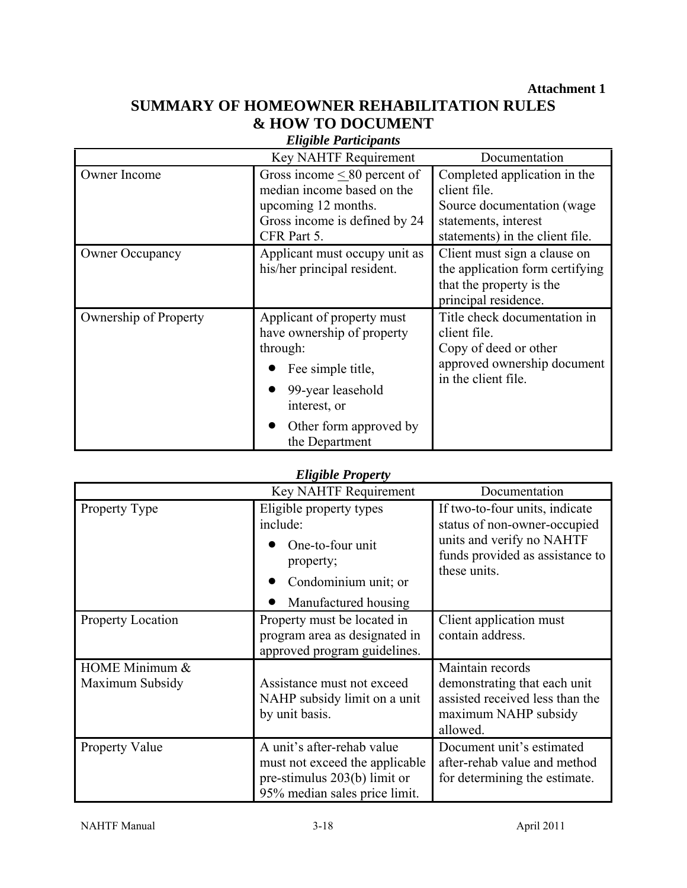**Attachment 1** 

# **SUMMARY OF HOMEOWNER REHABILITATION RULES & HOW TO DOCUMENT**

| $\lambda$ to the set of the specific |                                                                                                                                                                            |                                                                                                                                       |  |
|--------------------------------------|----------------------------------------------------------------------------------------------------------------------------------------------------------------------------|---------------------------------------------------------------------------------------------------------------------------------------|--|
|                                      | Key NAHTF Requirement                                                                                                                                                      | Documentation                                                                                                                         |  |
| Owner Income                         | Gross income $\leq 80$ percent of<br>median income based on the<br>upcoming 12 months.<br>Gross income is defined by 24<br>CFR Part 5.                                     | Completed application in the<br>client file.<br>Source documentation (wage<br>statements, interest<br>statements) in the client file. |  |
| <b>Owner Occupancy</b>               | Applicant must occupy unit as<br>his/her principal resident.                                                                                                               | Client must sign a clause on<br>the application form certifying<br>that the property is the<br>principal residence.                   |  |
| Ownership of Property                | Applicant of property must<br>have ownership of property<br>through:<br>Fee simple title,<br>99-year leasehold<br>interest, or<br>Other form approved by<br>the Department | Title check documentation in<br>client file.<br>Copy of deed or other<br>approved ownership document<br>in the client file.           |  |

### *Eligible Participants*

### *Eligible Property*

|                                   | <b>Key NAHTF Requirement</b>                                                                                                  | Documentation                                                                                                                                  |
|-----------------------------------|-------------------------------------------------------------------------------------------------------------------------------|------------------------------------------------------------------------------------------------------------------------------------------------|
| Property Type                     | Eligible property types<br>include:<br>One-to-four unit<br>property;<br>Condominium unit; or<br>Manufactured housing          | If two-to-four units, indicate<br>status of non-owner-occupied<br>units and verify no NAHTF<br>funds provided as assistance to<br>these units. |
| <b>Property Location</b>          | Property must be located in<br>program area as designated in<br>approved program guidelines.                                  | Client application must<br>contain address.                                                                                                    |
| HOME Minimum &<br>Maximum Subsidy | Assistance must not exceed<br>NAHP subsidy limit on a unit<br>by unit basis.                                                  | Maintain records<br>demonstrating that each unit<br>assisted received less than the<br>maximum NAHP subsidy<br>allowed.                        |
| <b>Property Value</b>             | A unit's after-rehab value<br>must not exceed the applicable<br>pre-stimulus 203(b) limit or<br>95% median sales price limit. | Document unit's estimated<br>after-rehab value and method<br>for determining the estimate.                                                     |